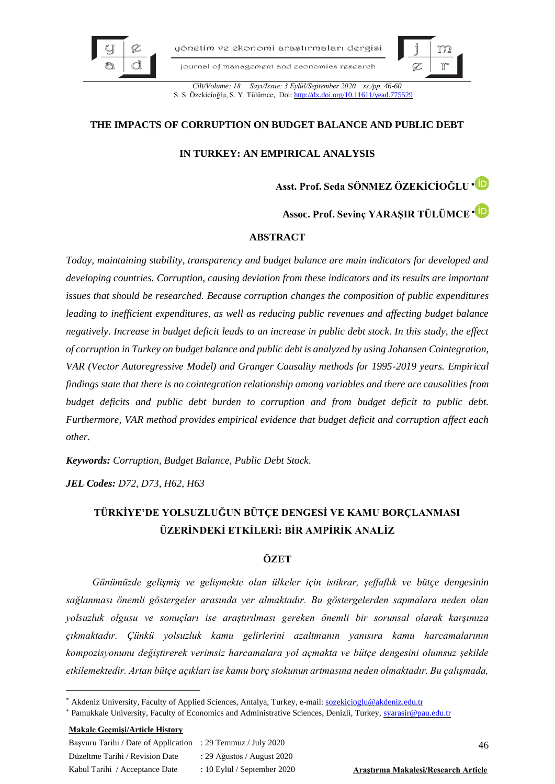

yönetim ve ekonomi arastırmaları dergisi

journal of management and economics research



*Cilt/Volume: 18 Sayı/Issue: 3 Eylül/September 2020 ss./pp. 46-60* S. S. Özekicioğlu, S. Y. Tülümce, Doi: http://dx.doi.org/10.11611

# **THE IMPACTS OF CORRUPTION ON BUDGET BALANCE AND PUBLIC DEBT**

# **IN TURKEY: AN EMPIRICAL ANALYSIS**

**Asst. Prof. Seda SÖNMEZ ÖZEKİCİOĞLU**

**Assoc. Prof. Sevinç YARAŞIR TÜLÜMCE**

## **ABSTRACT**

*Today, maintaining stability, transparency and budget balance are main indicators for developed and developing countries. Corruption, causing deviation from these indicators and its results are important issues that should be researched. Because corruption changes the composition of public expenditures leading to inefficient expenditures, as well as reducing public revenues and affecting budget balance negatively. Increase in budget deficit leads to an increase in public debt stock. In this study, the effect of corruption in Turkey on budget balance and public debt is analyzed by using Johansen Cointegration, VAR (Vector Autoregressive Model) and Granger Causality methods for 1995-2019 years. Empirical findings state that there is no cointegration relationship among variables and there are causalities from budget deficits and public debt burden to corruption and from budget deficit to public debt. Furthermore, VAR method provides empirical evidence that budget deficit and corruption affect each other.*

*Keywords: Corruption, Budget Balance, Public Debt Stock.*

*JEL Codes: D72, D73, H62, H63*

# **TÜRKİYE'DE YOLSUZLUĞUN BÜTÇE DENGESİ VE KAMU BORÇLANMASI ÜZERİNDEKİ ETKİLERİ: BİR AMPİRİK ANALİZ**

# **ÖZET**

*Günümüzde gelişmiş ve gelişmekte olan ülkeler için istikrar, şeffaflık ve bütçe dengesinin sağlanması önemli göstergeler arasında yer almaktadır. Bu göstergelerden sapmalara neden olan yolsuzluk olgusu ve sonuçları ise araştırılması gereken önemli bir sorunsal olarak karşımıza çıkmaktadır. Çünkü yolsuzluk kamu gelirlerini azaltmanın yanısıra kamu harcamalarının kompozisyonunu değiştirerek verimsiz harcamalara yol açmakta ve bütçe dengesini olumsuz şekilde etkilemektedir. Artan bütçe açıkları ise kamu borç stokunun artmasına neden olmaktadır. Bu çalışmada,* 

#### **Makale Geçmişi/Article History**

| Basvuru Tarihi / Date of Application : 29 Temmuz / July 2020 |                              |
|--------------------------------------------------------------|------------------------------|
| Düzeltme Tarihi / Revision Date                              | : 29 Ağustos / August $2020$ |
| Kabul Tarihi / Acceptance Date                               | : 10 Eylül / September 2020  |

Kabul Tarihi / Acceptance Date : 10 Eylül / September 2020 **Araştırma Makalesi/Research Article**

Akdeniz University, Faculty of Applied Sciences, Antalya, Turkey, e-mail[: sozekicioglu@akdeniz.edu.tr](mailto:sozekicioglu@akdeniz.edu.tr)

Pamukkale University, Faculty of Economics and Administrative Sciences, Denizli, Turkey[, syarasir@pau.edu.tr](mailto:syarasir@pau.edu.tr)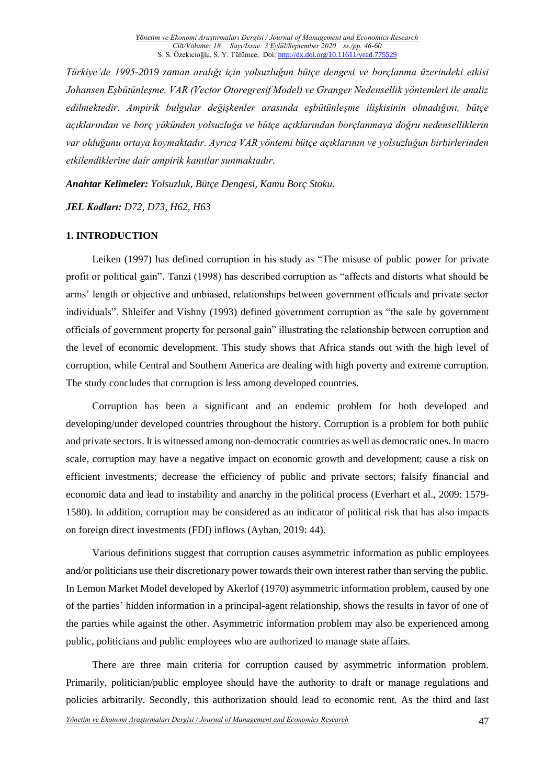*Türkiye'de 1995-2019 zaman aralığı için yolsuzluğun bütçe dengesi ve borçlanma üzerindeki etkisi Johansen Eşbütünleşme, VAR (Vector Otoregresif Model) ve Granger Nedensellik yöntemleri ile analiz edilmektedir. Ampirik bulgular değişkenler arasında eşbütünleşme ilişkisinin olmadığını, bütçe açıklarından ve borç yükünden yolsuzluğa ve bütçe açıklarından borçlanmaya doğru nedenselliklerin var olduğunu ortaya koymaktadır. Ayrıca VAR yöntemi bütçe açıklarının ve yolsuzluğun birbirlerinden etkilendiklerine dair ampirik kanıtlar sunmaktadır.* 

*Anahtar Kelimeler: Yolsuzluk, Bütçe Dengesi, Kamu Borç Stoku.*

*JEL Kodları: D72, D73, H62, H63*

#### **1. INTRODUCTION**

Leiken (1997) has defined corruption in his study as "The misuse of public power for private profit or political gain". Tanzi (1998) has described corruption as "affects and distorts what should be arms' length or objective and unbiased, relationships between government officials and private sector individuals". Shleifer and Vishny (1993) defined government corruption as "the sale by government officials of government property for personal gain" illustrating the relationship between corruption and the level of economic development. This study shows that Africa stands out with the high level of corruption, while Central and Southern America are dealing with high poverty and extreme corruption. The study concludes that corruption is less among developed countries.

Corruption has been a significant and an endemic problem for both developed and developing/under developed countries throughout the history. Corruption is a problem for both public and private sectors. It is witnessed among non-democratic countries as well as democratic ones. In macro scale, corruption may have a negative impact on economic growth and development; cause a risk on efficient investments; decrease the efficiency of public and private sectors; falsify financial and economic data and lead to instability and anarchy in the political process (Everhart et al., 2009: 1579- 1580). In addition, corruption may be considered as an indicator of political risk that has also impacts on foreign direct investments (FDI) inflows (Ayhan, 2019: 44).

Various definitions suggest that corruption causes asymmetric information as public employees and/or politicians use their discretionary power towards their own interest rather than serving the public. In Lemon Market Model developed by Akerlof (1970) asymmetric information problem, caused by one of the parties' hidden information in a principal-agent relationship, shows the results in favor of one of the parties while against the other. Asymmetric information problem may also be experienced among public, politicians and public employees who are authorized to manage state affairs.

There are three main criteria for corruption caused by asymmetric information problem. Primarily, politician/public employee should have the authority to draft or manage regulations and policies arbitrarily. Secondly, this authorization should lead to economic rent. As the third and last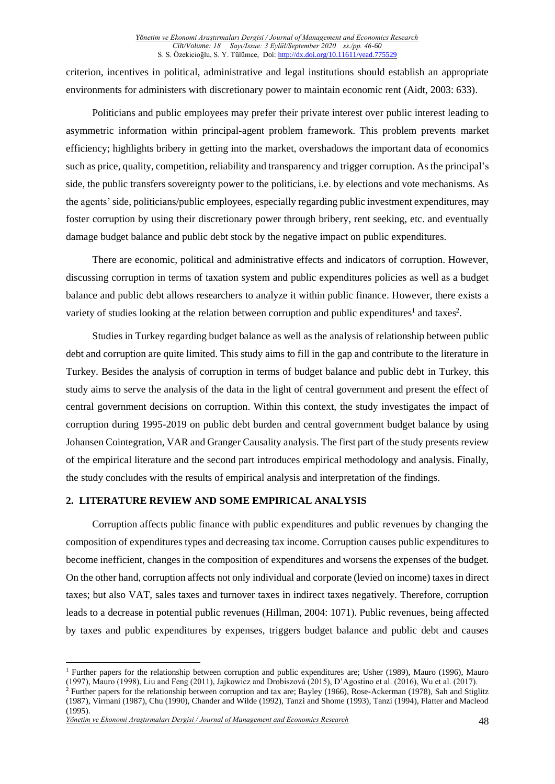criterion, incentives in political, administrative and legal institutions should establish an appropriate environments for administers with discretionary power to maintain economic rent (Aidt, 2003: 633).

Politicians and public employees may prefer their private interest over public interest leading to asymmetric information within principal-agent problem framework. This problem prevents market efficiency; highlights bribery in getting into the market, overshadows the important data of economics such as price, quality, competition, reliability and transparency and trigger corruption. As the principal's side, the public transfers sovereignty power to the politicians, i.e. by elections and vote mechanisms. As the agents'side, politicians/public employees, especially regarding public investment expenditures, may foster corruption by using their discretionary power through bribery, rent seeking, etc. and eventually damage budget balance and public debt stock by the negative impact on public expenditures.

There are economic, political and administrative effects and indicators of corruption. However, discussing corruption in terms of taxation system and public expenditures policies as well as a budget balance and public debt allows researchers to analyze it within public finance. However, there exists a variety of studies looking at the relation between corruption and public expenditures<sup>1</sup> and taxes<sup>2</sup>.

Studies in Turkey regarding budget balance as well as the analysis of relationship between public debt and corruption are quite limited. This study aims to fill in the gap and contribute to the literature in Turkey. Besides the analysis of corruption in terms of budget balance and public debt in Turkey, this study aims to serve the analysis of the data in the light of central government and present the effect of central government decisions on corruption. Within this context, the study investigates the impact of corruption during 1995-2019 on public debt burden and central government budget balance by using Johansen Cointegration, VAR and Granger Causality analysis. The first part of the study presents review of the empirical literature and the second part introduces empirical methodology and analysis. Finally, the study concludes with the results of empirical analysis and interpretation of the findings.

#### **2. LITERATURE REVIEW AND SOME EMPIRICAL ANALYSIS**

Corruption affects public finance with public expenditures and public revenues by changing the composition of expenditures types and decreasing tax income. Corruption causes public expenditures to become inefficient, changes in the composition of expenditures and worsens the expenses of the budget. On the other hand, corruption affects not only individual and corporate (levied on income) taxes in direct taxes; but also VAT, sales taxes and turnover taxes in indirect taxes negatively. Therefore, corruption leads to a decrease in potential public revenues (Hillman, 2004: 1071). Public revenues, being affected by taxes and public expenditures by expenses, triggers budget balance and public debt and causes

<sup>&</sup>lt;sup>1</sup> Further papers for the relationship between corruption and public expenditures are; Usher (1989), Mauro (1996), Mauro (1997), Mauro (1998), Liu and Feng (2011), Jajkowicz and Drobiszová (2015), D'Agostino et al. (2016), Wu et al. (2017).

 $^2$  Further papers for the relationship between corruption and tax are; Bayley (1966), Rose-Ackerman (1978), Sah and Stiglitz (1987), Virmani (1987), Chu (1990), Chander and Wilde (1992), Tanzi and Shome (1993), Tanzi (1994), Flatter and Macleod (1995).

*Yönetim ve Ekonomi Araştırmaları Dergisi / Journal of Management and Economics Research* 48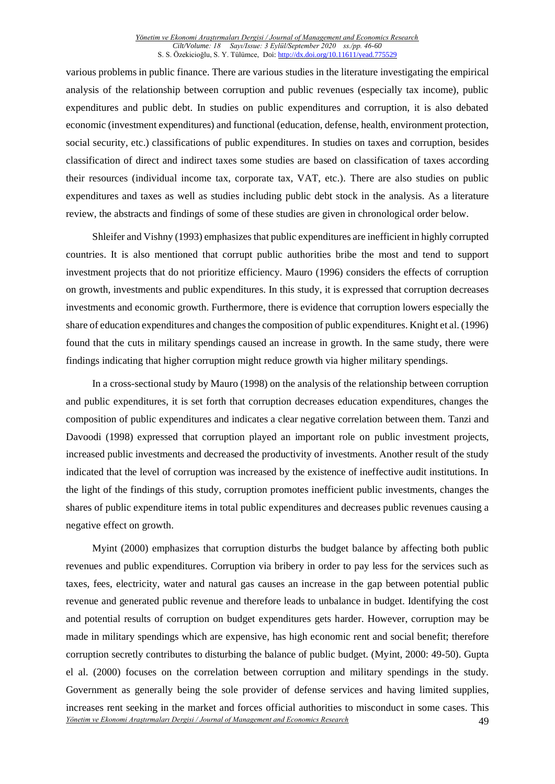various problems in public finance. There are various studies in the literature investigating the empirical analysis of the relationship between corruption and public revenues (especially tax income), public expenditures and public debt. In studies on public expenditures and corruption, it is also debated economic (investment expenditures) and functional (education, defense, health, environment protection, social security, etc.) classifications of public expenditures. In studies on taxes and corruption, besides classification of direct and indirect taxes some studies are based on classification of taxes according their resources (individual income tax, corporate tax, VAT, etc.). There are also studies on public expenditures and taxes as well as studies including public debt stock in the analysis. As a literature review, the abstracts and findings of some of these studies are given in chronological order below.

Shleifer and Vishny (1993) emphasizes that public expenditures are inefficient in highly corrupted countries. It is also mentioned that corrupt public authorities bribe the most and tend to support investment projects that do not prioritize efficiency. Mauro (1996) considers the effects of corruption on growth, investments and public expenditures. In this study, it is expressed that corruption decreases investments and economic growth. Furthermore, there is evidence that corruption lowers especially the share of education expenditures and changes the composition of public expenditures. Knight et al. (1996) found that the cuts in military spendings caused an increase in growth. In the same study, there were findings indicating that higher corruption might reduce growth via higher military spendings.

In a cross-sectional study by Mauro (1998) on the analysis of the relationship between corruption and public expenditures, it is set forth that corruption decreases education expenditures, changes the composition of public expenditures and indicates a clear negative correlation between them. Tanzi and Davoodi (1998) expressed that corruption played an important role on public investment projects, increased public investments and decreased the productivity of investments. Another result of the study indicated that the level of corruption was increased by the existence of ineffective audit institutions. In the light of the findings of this study, corruption promotes inefficient public investments, changes the shares of public expenditure items in total public expenditures and decreases public revenues causing a negative effect on growth.

*Yönetim ve Ekonomi Araştırmaları Dergisi / Journal of Management and Economics Research* 49 Myint (2000) emphasizes that corruption disturbs the budget balance by affecting both public revenues and public expenditures. Corruption via bribery in order to pay less for the services such as taxes, fees, electricity, water and natural gas causes an increase in the gap between potential public revenue and generated public revenue and therefore leads to unbalance in budget. Identifying the cost and potential results of corruption on budget expenditures gets harder. However, corruption may be made in military spendings which are expensive, has high economic rent and social benefit; therefore corruption secretly contributes to disturbing the balance of public budget. (Myint, 2000: 49-50). Gupta el al. (2000) focuses on the correlation between corruption and military spendings in the study. Government as generally being the sole provider of defense services and having limited supplies, increases rent seeking in the market and forces official authorities to misconduct in some cases. This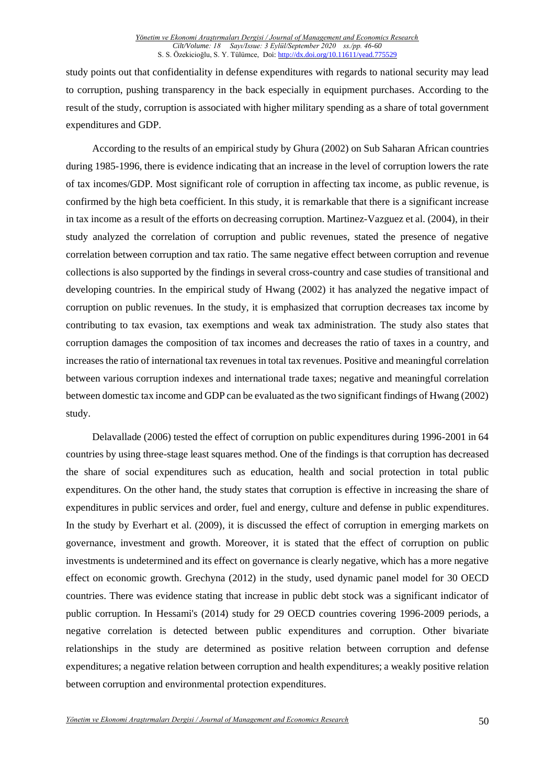study points out that confidentiality in defense expenditures with regards to national security may lead to corruption, pushing transparency in the back especially in equipment purchases. According to the result of the study, corruption is associated with higher military spending as a share of total government expenditures and GDP.

According to the results of an empirical study by Ghura (2002) on Sub Saharan African countries during 1985-1996, there is evidence indicating that an increase in the level of corruption lowers the rate of tax incomes/GDP. Most significant role of corruption in affecting tax income, as public revenue, is confirmed by the high beta coefficient. In this study, it is remarkable that there is a significant increase in tax income as a result of the efforts on decreasing corruption. Martinez-Vazguez et al. (2004), in their study analyzed the correlation of corruption and public revenues, stated the presence of negative correlation between corruption and tax ratio. The same negative effect between corruption and revenue collections is also supported by the findings in several cross-country and case studies of transitional and developing countries. In the empirical study of Hwang (2002) it has analyzed the negative impact of corruption on public revenues. In the study, it is emphasized that corruption decreases tax income by contributing to tax evasion, tax exemptions and weak tax administration. The study also states that corruption damages the composition of tax incomes and decreases the ratio of taxes in a country, and increases the ratio of international tax revenues in total tax revenues. Positive and meaningful correlation between various corruption indexes and international trade taxes; negative and meaningful correlation between domestic tax income and GDP can be evaluated as the two significant findings of Hwang (2002) study.

Delavallade (2006) tested the effect of corruption on public expenditures during 1996-2001 in 64 countries by using three-stage least squares method. One of the findings is that corruption has decreased the share of social expenditures such as education, health and social protection in total public expenditures. On the other hand, the study states that corruption is effective in increasing the share of expenditures in public services and order, fuel and energy, culture and defense in public expenditures. In the study by Everhart et al. (2009), it is discussed the effect of corruption in emerging markets on governance, investment and growth. Moreover, it is stated that the effect of corruption on public investments is undetermined and its effect on governance is clearly negative, which has a more negative effect on economic growth. Grechyna (2012) in the study, used dynamic panel model for 30 OECD countries. There was evidence stating that increase in public debt stock was a significant indicator of public corruption. In Hessami's (2014) study for 29 OECD countries covering 1996-2009 periods, a negative correlation is detected between public expenditures and corruption. Other bivariate relationships in the study are determined as positive relation between corruption and defense expenditures; a negative relation between corruption and health expenditures; a weakly positive relation between corruption and environmental protection expenditures.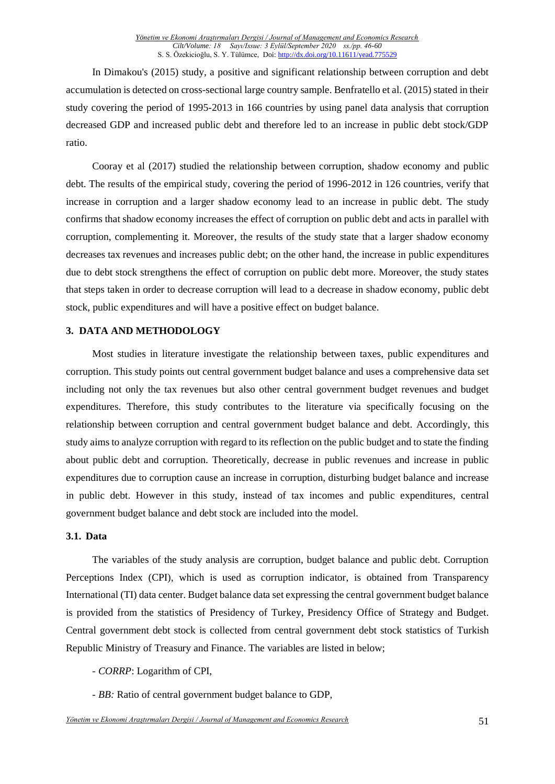In Dimakou's (2015) study, a positive and significant relationship between corruption and debt accumulation is detected on cross-sectional large country sample. Benfratello et al. (2015) stated in their study covering the period of 1995-2013 in 166 countries by using panel data analysis that corruption decreased GDP and increased public debt and therefore led to an increase in public debt stock/GDP ratio.

Cooray et al (2017) studied the relationship between corruption, shadow economy and public debt. The results of the empirical study, covering the period of 1996-2012 in 126 countries, verify that increase in corruption and a larger shadow economy lead to an increase in public debt. The study confirms that shadow economy increases the effect of corruption on public debt and acts in parallel with corruption, complementing it. Moreover, the results of the study state that a larger shadow economy decreases tax revenues and increases public debt; on the other hand, the increase in public expenditures due to debt stock strengthens the effect of corruption on public debt more. Moreover, the study states that steps taken in order to decrease corruption will lead to a decrease in shadow economy, public debt stock, public expenditures and will have a positive effect on budget balance.

#### **3. DATA AND METHODOLOGY**

Most studies in literature investigate the relationship between taxes, public expenditures and corruption. This study points out central government budget balance and uses a comprehensive data set including not only the tax revenues but also other central government budget revenues and budget expenditures. Therefore, this study contributes to the literature via specifically focusing on the relationship between corruption and central government budget balance and debt. Accordingly, this study aims to analyze corruption with regard to its reflection on the public budget and to state the finding about public debt and corruption. Theoretically, decrease in public revenues and increase in public expenditures due to corruption cause an increase in corruption, disturbing budget balance and increase in public debt. However in this study, instead of tax incomes and public expenditures, central government budget balance and debt stock are included into the model.

#### **3.1. Data**

The variables of the study analysis are corruption, budget balance and public debt. Corruption Perceptions Index (CPI), which is used as corruption indicator, is obtained from Transparency International (TI) data center. Budget balance data set expressing the central government budget balance is provided from the statistics of Presidency of Turkey, Presidency Office of Strategy and Budget. Central government debt stock is collected from central government debt stock statistics of Turkish Republic Ministry of Treasury and Finance. The variables are listed in below;

- *CORRP*: Logarithm of CPI,
- *BB:* Ratio of central government budget balance to GDP,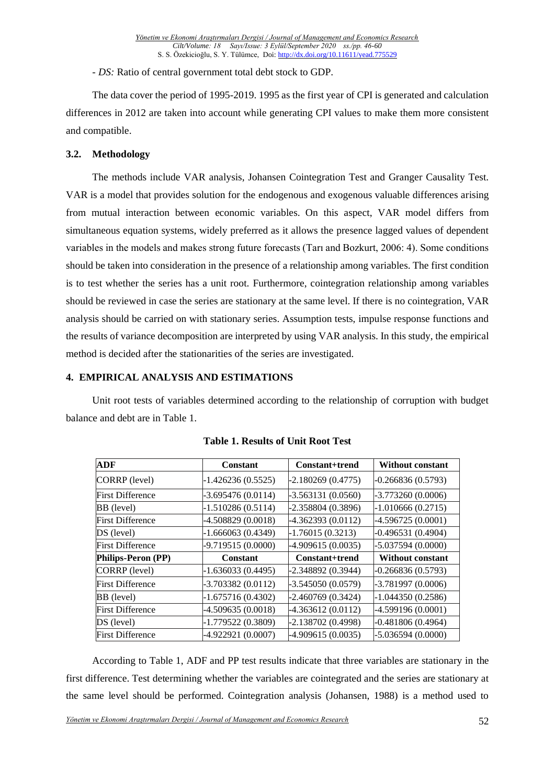- *DS:* Ratio of central government total debt stock to GDP.

The data cover the period of 1995-2019. 1995 as the first year of CPI is generated and calculation differences in 2012 are taken into account while generating CPI values to make them more consistent and compatible.

## **3.2. Methodology**

The methods include VAR analysis, Johansen Cointegration Test and Granger Causality Test. VAR is a model that provides solution for the endogenous and exogenous valuable differences arising from mutual interaction between economic variables. On this aspect, VAR model differs from simultaneous equation systems, widely preferred as it allows the presence lagged values of dependent variables in the models and makes strong future forecasts (Tarı and Bozkurt, 2006: 4). Some conditions should be taken into consideration in the presence of a relationship among variables. The first condition is to test whether the series has a unit root. Furthermore, cointegration relationship among variables should be reviewed in case the series are stationary at the same level. If there is no cointegration, VAR analysis should be carried on with stationary series. Assumption tests, impulse response functions and the results of variance decomposition are interpreted by using VAR analysis. In this study, the empirical method is decided after the stationarities of the series are investigated.

## **4. EMPIRICAL ANALYSIS AND ESTIMATIONS**

Unit root tests of variables determined according to the relationship of corruption with budget balance and debt are in Table 1.

| <b>ADF</b>              | Constant            | Constant+trend      | <b>Without constant</b> |
|-------------------------|---------------------|---------------------|-------------------------|
| CORRP (level)           | $-1.426236(0.5525)$ | $-2.180269(0.4775)$ | $-0.266836(0.5793)$     |
| <b>First Difference</b> | $-3.695476(0.0114)$ | $-3.563131(0.0560)$ | $-3.773260(0.0006)$     |
| BB (level)              | $-1.510286(0.5114)$ | $-2.358804(0.3896)$ | $-1.010666(0.2715)$     |
| <b>First Difference</b> | $-4.508829(0.0018)$ | -4.362393 (0.0112)  | $-4.596725(0.0001)$     |
| DS (level)              | $-1.666063(0.4349)$ | $-1.76015(0.3213)$  | $-0.496531(0.4904)$     |
| <b>First Difference</b> | $-9.719515(0.0000)$ | -4.909615 (0.0035)  | $-5.037594(0.0000)$     |
| Philips-Peron (PP)      | Constant            | Constant+trend      | Without constant        |
| CORRP (level)           | $-1.636033(0.4495)$ | -2.348892 (0.3944)  | $-0.266836(0.5793)$     |
| <b>First Difference</b> | $-3.703382(0.0112)$ | $-3.545050(0.0579)$ | -3.781997 (0.0006)      |
| BB (level)              | $-1.675716(0.4302)$ | $-2.460769(0.3424)$ | $-1.044350(0.2586)$     |
| <b>First Difference</b> | $-4.509635(0.0018)$ | $-4.363612(0.0112)$ | -4.599196 (0.0001)      |
| DS (level)              | $-1.779522(0.3809)$ | $-2.138702(0.4998)$ | $-0.481806(0.4964)$     |
| <b>First Difference</b> | -4.922921 (0.0007)  | -4.909615 (0.0035)  | $-5.036594(0.0000)$     |

| <b>Table 1. Results of Unit Root Test</b> |  |  |  |  |  |
|-------------------------------------------|--|--|--|--|--|
|-------------------------------------------|--|--|--|--|--|

According to Table 1, ADF and PP test results indicate that three variables are stationary in the first difference. Test determining whether the variables are cointegrated and the series are stationary at the same level should be performed. Cointegration analysis (Johansen, 1988) is a method used to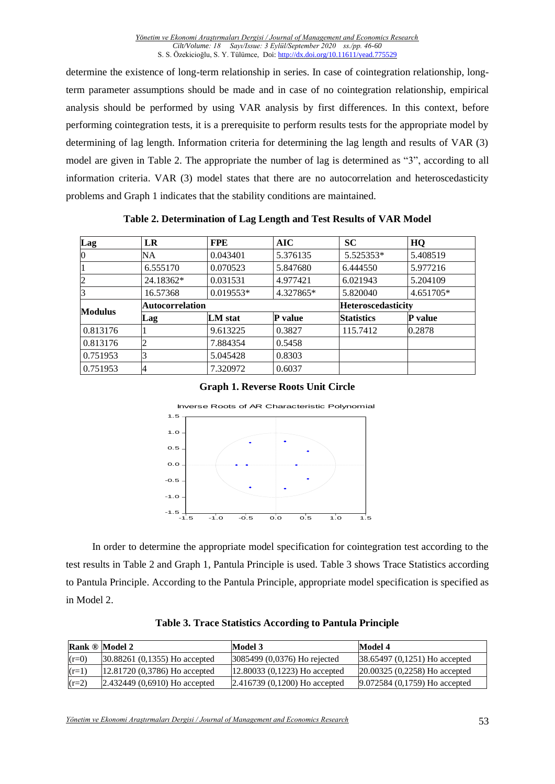determine the existence of long-term relationship in series. In case of cointegration relationship, longterm parameter assumptions should be made and in case of no cointegration relationship, empirical analysis should be performed by using VAR analysis by first differences. In this context, before performing cointegration tests, it is a prerequisite to perform results tests for the appropriate model by determining of lag length. Information criteria for determining the lag length and results of VAR (3) model are given in Table 2. The appropriate the number of lag is determined as "3", according to all information criteria. VAR (3) model states that there are no autocorrelation and heteroscedasticity problems and Graph 1 indicates that the stability conditions are maintained.

| Lag            | LR                     | <b>FPE</b>  | AIC       | <b>SC</b>          | HQ        |
|----------------|------------------------|-------------|-----------|--------------------|-----------|
| $\overline{0}$ | <b>NA</b>              | 0.043401    | 5.376135  | 5.525353*          | 5.408519  |
|                | 6.555170               | 0.070523    | 5.847680  | 6.444550           | 5.977216  |
| 2              | 24.18362*              | 0.031531    | 4.977421  | 6.021943           | 5.204109  |
| 13             | 16.57368               | $0.019553*$ | 4.327865* | 5.820040           | 4.651705* |
| <b>Modulus</b> | <b>Autocorrelation</b> |             |           | Heteroscedasticity |           |
|                | Lag                    | LM stat     | P value   | <b>Statistics</b>  | P value   |
| 0.813176       |                        | 9.613225    | 0.3827    | 115.7412           | 0.2878    |
| 0.813176       |                        | 7.884354    | 0.5458    |                    |           |
| 0.751953       |                        | 5.045428    | 0.8303    |                    |           |
| 0.751953       | 4                      | 7.320972    | 0.6037    |                    |           |

**Table 2. Determination of Lag Length and Test Results of VAR Model**

|  |  | <b>Graph 1. Reverse Roots Unit Circle</b> |  |  |  |
|--|--|-------------------------------------------|--|--|--|
|--|--|-------------------------------------------|--|--|--|



In order to determine the appropriate model specification for cointegration test according to the test results in Table 2 and Graph 1, Pantula Principle is used. Table 3 shows Trace Statistics according to Pantula Principle. According to the Pantula Principle, appropriate model specification is specified as in Model 2.

|         | <b>Rank ® Model 2</b>            | Model 3                         | Model 4                          |
|---------|----------------------------------|---------------------------------|----------------------------------|
| $(r=0)$ | $30.88261$ (0.1355) Ho accepted  | $3085499 (0,0376)$ Ho rejected  | $38.65497 (0.1251)$ Ho accepted  |
| $(r=1)$ | $(12.81720(0.3786))$ Ho accepted | $[12.80033(0,1223)$ Ho accepted | $[20.00325 (0,2258)$ Ho accepted |
| $(r=2)$ | $[2.432449 (0,6910)$ Ho accepted | $[2.416739(0,1200)$ Ho accepted | 9.072584 (0,1759) Ho accepted    |

**Table 3. Trace Statistics According to Pantula Principle**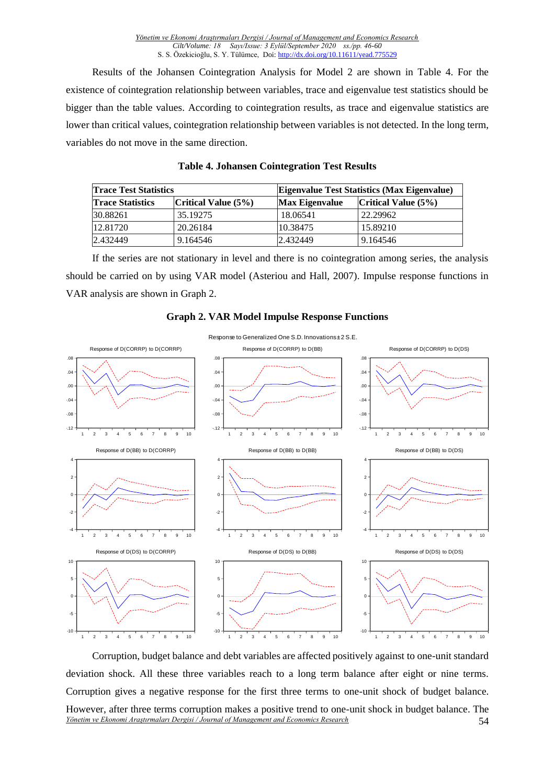Results of the Johansen Cointegration Analysis for Model 2 are shown in Table 4. For the existence of cointegration relationship between variables, trace and eigenvalue test statistics should be bigger than the table values. According to cointegration results, as trace and eigenvalue statistics are lower than critical values, cointegration relationship between variables is not detected. In the long term, variables do not move in the same direction.

| <b>Trace Test Statistics</b> |                        |                       | <b>Eigenvalue Test Statistics (Max Eigenvalue)</b> |  |  |
|------------------------------|------------------------|-----------------------|----------------------------------------------------|--|--|
| <b>Trace Statistics</b>      | Critical Value $(5\%)$ | <b>Max Eigenvalue</b> | Critical Value $(5%)$                              |  |  |
| 30.88261                     | 35.19275               | 18.06541              | 22.29962                                           |  |  |
| 12.81720                     | 20.26184               | 10.38475              | 15.89210                                           |  |  |
| 2.432449                     | 9.164546               | 2.432449              | 9.164546                                           |  |  |

|  | <b>Table 4. Johansen Cointegration Test Results</b> |  |  |  |
|--|-----------------------------------------------------|--|--|--|
|--|-----------------------------------------------------|--|--|--|

If the series are not stationary in level and there is no cointegration among series, the analysis should be carried on by using VAR model (Asteriou and Hall, 2007). Impulse response functions in VAR analysis are shown in Graph 2.



#### **Graph 2. VAR Model Impulse Response Functions**

*Yönetim ve Ekonomi Araştırmaları Dergisi / Journal of Management and Economics Research* 54 Corruption, budget balance and debt variables are affected positively against to one-unit standard deviation shock. All these three variables reach to a long term balance after eight or nine terms. Corruption gives a negative response for the first three terms to one-unit shock of budget balance. However, after three terms corruption makes a positive trend to one-unit shock in budget balance. The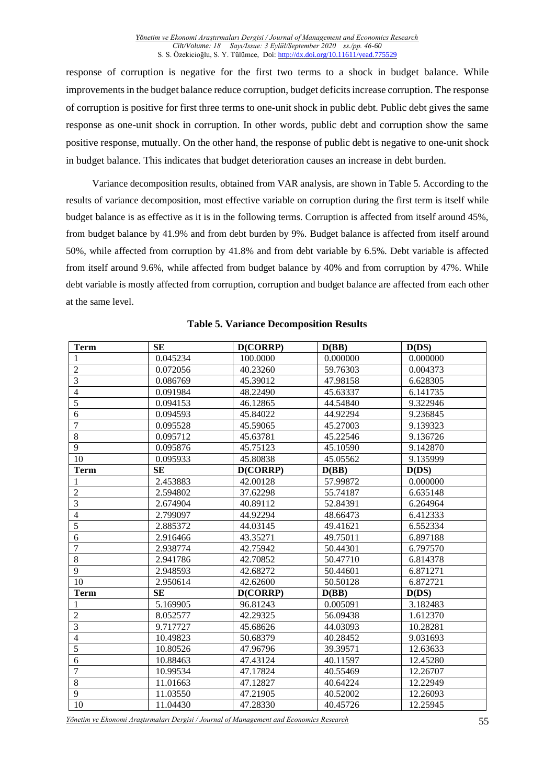response of corruption is negative for the first two terms to a shock in budget balance. While improvements in the budget balance reduce corruption, budget deficits increase corruption. The response of corruption is positive for first three terms to one-unit shock in public debt. Public debt gives the same response as one-unit shock in corruption. In other words, public debt and corruption show the same positive response, mutually. On the other hand, the response of public debt is negative to one-unit shock in budget balance. This indicates that budget deterioration causes an increase in debt burden.

Variance decomposition results, obtained from VAR analysis, are shown in Table 5. According to the results of variance decomposition, most effective variable on corruption during the first term is itself while budget balance is as effective as it is in the following terms. Corruption is affected from itself around 45%, from budget balance by 41.9% and from debt burden by 9%. Budget balance is affected from itself around 50%, while affected from corruption by 41.8% and from debt variable by 6.5%. Debt variable is affected from itself around 9.6%, while affected from budget balance by 40% and from corruption by 47%. While debt variable is mostly affected from corruption, corruption and budget balance are affected from each other at the same level.

| Term           | <b>SE</b> | D(CORRP) | D(BB)    | D(DS)    |
|----------------|-----------|----------|----------|----------|
| 1              | 0.045234  | 100.0000 | 0.000000 | 0.000000 |
| $\mathbf{2}$   | 0.072056  | 40.23260 | 59.76303 | 0.004373 |
| $\overline{3}$ | 0.086769  | 45.39012 | 47.98158 | 6.628305 |
| 4              | 0.091984  | 48.22490 | 45.63337 | 6.141735 |
| 5              | 0.094153  | 46.12865 | 44.54840 | 9.322946 |
| 6              | 0.094593  | 45.84022 | 44.92294 | 9.236845 |
| $\overline{7}$ | 0.095528  | 45.59065 | 45.27003 | 9.139323 |
| 8              | 0.095712  | 45.63781 | 45.22546 | 9.136726 |
| 9              | 0.095876  | 45.75123 | 45.10590 | 9.142870 |
| 10             | 0.095933  | 45.80838 | 45.05562 | 9.135999 |
| Term           | <b>SE</b> | D(CORRP) | D(BB)    | D(DS)    |
|                | 2.453883  | 42.00128 | 57.99872 | 0.000000 |
| $\overline{2}$ | 2.594802  | 37.62298 | 55.74187 | 6.635148 |
| $\overline{3}$ | 2.674904  | 40.89112 | 52.84391 | 6.264964 |
| 4              | 2.799097  | 44.92294 | 48.66473 | 6.412333 |
| $\overline{5}$ | 2.885372  | 44.03145 | 49.41621 | 6.552334 |
| 6              | 2.916466  | 43.35271 | 49.75011 | 6.897188 |
| $\overline{7}$ | 2.938774  | 42.75942 | 50.44301 | 6.797570 |
| 8              | 2.941786  | 42.70852 | 50.47710 | 6.814378 |
| 9              | 2.948593  | 42.68272 | 50.44601 | 6.871271 |
| 10             | 2.950614  | 42.62600 | 50.50128 | 6.872721 |
| <b>Term</b>    | <b>SE</b> | D(CORRP) | D(BB)    | D(DS)    |
|                | 5.169905  | 96.81243 | 0.005091 | 3.182483 |
| $\overline{2}$ | 8.052577  | 42.29325 | 56.09438 | 1.612370 |
| 3              | 9.717727  | 45.68626 | 44.03093 | 10.28281 |
| $\overline{4}$ | 10.49823  | 50.68379 | 40.28452 | 9.031693 |
| $\overline{5}$ | 10.80526  | 47.96796 | 39.39571 | 12.63633 |
| 6              | 10.88463  | 47.43124 | 40.11597 | 12.45280 |
| $\overline{7}$ | 10.99534  | 47.17824 | 40.55469 | 12.26707 |
| 8              | 11.01663  | 47.12827 | 40.64224 | 12.22949 |
| 9              | 11.03550  | 47.21905 | 40.52002 | 12.26093 |
| 10             | 11.04430  | 47.28330 | 40.45726 | 12.25945 |

#### **Table 5. Variance Decomposition Results**

*Yönetim ve Ekonomi Araştırmaları Dergisi / Journal of Management and Economics Research* 55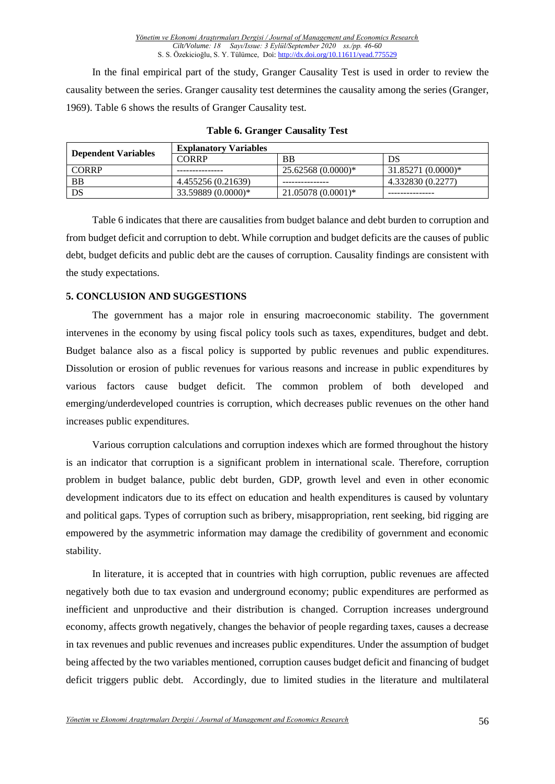In the final empirical part of the study, Granger Causality Test is used in order to review the causality between the series. Granger causality test determines the causality among the series (Granger, 1969). Table 6 shows the results of Granger Causality test.

| <b>Dependent Variables</b> | <b>Explanatory Variables</b> |                     |                     |  |
|----------------------------|------------------------------|---------------------|---------------------|--|
|                            | CORRP                        | BB                  | DS                  |  |
| <b>CORRP</b>               |                              | $25.62568(0.0000)*$ | $31.85271(0.0000)*$ |  |
| <b>BB</b>                  | 4.455256 (0.21639)           |                     | 4.332830 (0.2277)   |  |
| DS                         | 33.59889 (0.0000)*           | $21.05078(0.0001)*$ |                     |  |

#### **Table 6. Granger Causality Test**

Table 6 indicates that there are causalities from budget balance and debt burden to corruption and from budget deficit and corruption to debt. While corruption and budget deficits are the causes of public debt, budget deficits and public debt are the causes of corruption. Causality findings are consistent with the study expectations.

## **5. CONCLUSION AND SUGGESTIONS**

The government has a major role in ensuring macroeconomic stability. The government intervenes in the economy by using fiscal policy tools such as taxes, expenditures, budget and debt. Budget balance also as a fiscal policy is supported by public revenues and public expenditures. Dissolution or erosion of public revenues for various reasons and increase in public expenditures by various factors cause budget deficit. The common problem of both developed and emerging/underdeveloped countries is corruption, which decreases public revenues on the other hand increases public expenditures.

Various corruption calculations and corruption indexes which are formed throughout the history is an indicator that corruption is a significant problem in international scale. Therefore, corruption problem in budget balance, public debt burden, GDP, growth level and even in other economic development indicators due to its effect on education and health expenditures is caused by voluntary and political gaps. Types of corruption such as bribery, misappropriation, rent seeking, bid rigging are empowered by the asymmetric information may damage the credibility of government and economic stability.

In literature, it is accepted that in countries with high corruption, public revenues are affected negatively both due to tax evasion and underground economy; public expenditures are performed as inefficient and unproductive and their distribution is changed. Corruption increases underground economy, affects growth negatively, changes the behavior of people regarding taxes, causes a decrease in tax revenues and public revenues and increases public expenditures. Under the assumption of budget being affected by the two variables mentioned, corruption causes budget deficit and financing of budget deficit triggers public debt. Accordingly, due to limited studies in the literature and multilateral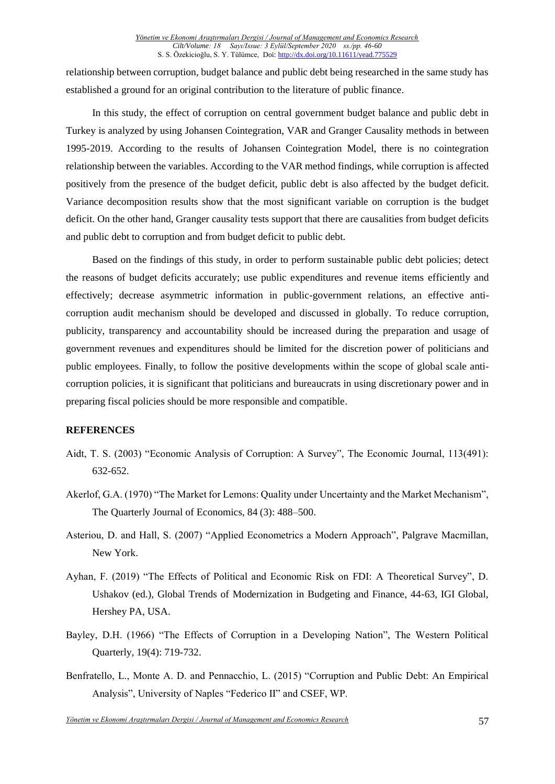relationship between corruption, budget balance and public debt being researched in the same study has established a ground for an original contribution to the literature of public finance.

In this study, the effect of corruption on central government budget balance and public debt in Turkey is analyzed by using Johansen Cointegration, VAR and Granger Causality methods in between 1995-2019. According to the results of Johansen Cointegration Model, there is no cointegration relationship between the variables. According to the VAR method findings, while corruption is affected positively from the presence of the budget deficit, public debt is also affected by the budget deficit. Variance decomposition results show that the most significant variable on corruption is the budget deficit. On the other hand, Granger causality tests support that there are causalities from budget deficits and public debt to corruption and from budget deficit to public debt.

Based on the findings of this study, in order to perform sustainable public debt policies; detect the reasons of budget deficits accurately; use public expenditures and revenue items efficiently and effectively; decrease asymmetric information in public-government relations, an effective anticorruption audit mechanism should be developed and discussed in globally. To reduce corruption, publicity, transparency and accountability should be increased during the preparation and usage of government revenues and expenditures should be limited for the discretion power of politicians and public employees. Finally, to follow the positive developments within the scope of global scale anticorruption policies, it is significant that politicians and bureaucrats in using discretionary power and in preparing fiscal policies should be more responsible and compatible.

## **REFERENCES**

- Aidt, T. S. (2003) "Economic Analysis of Corruption: A Survey", The Economic Journal, 113(491): 632-652.
- Akerlof, G.A. (1970) "The Market for Lemons: Quality under Uncertainty and the Market Mechanism", The Quarterly Journal of Economics, 84 (3): 488–500.
- Asteriou, D. and Hall, S. (2007) "Applied Econometrics a Modern Approach", Palgrave Macmillan, New York.
- Ayhan, F. (2019) "The Effects of Political and Economic Risk on FDI: A Theoretical Survey", D. Ushakov (ed.), Global Trends of Modernization in Budgeting and Finance, 44-63, IGI Global, Hershey PA, USA.
- Bayley, D.H. (1966) "The Effects of Corruption in a Developing Nation", The Western Political Quarterly, 19(4): 719-732.
- Benfratello, L., Monte A. D. and Pennacchio, L. (2015) "Corruption and Public Debt: An Empirical Analysis", University of Naples "Federico II" and CSEF, WP.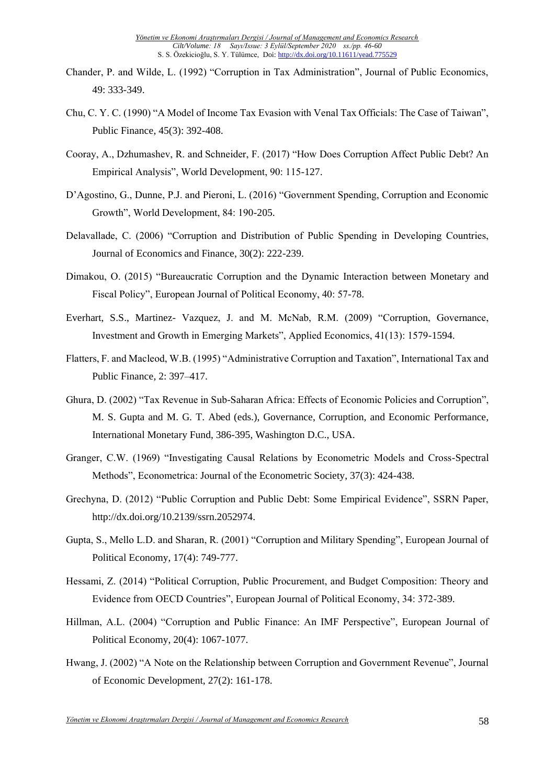- Chander, P. and Wilde, L. (1992) "Corruption in Tax Administration", Journal of Public Economics, 49: 333-349.
- Chu, C. Y. C. (1990) "A Model of Income Tax Evasion with Venal Tax Officials: The Case of Taiwan", Public Finance, 45(3): 392-408.
- Cooray, A., Dzhumashev, R. and Schneider, F. (2017) "How Does Corruption Affect Public Debt? An Empirical Analysis", World Development, 90: 115-127.
- D'Agostino, G., Dunne, P.J. and Pieroni, L. (2016) "Government Spending, Corruption and Economic Growth", World Development, 84: 190-205.
- Delavallade, C. (2006) "Corruption and Distribution of Public Spending in Developing Countries, Journal of Economics and Finance, 30(2): 222-239.
- Dimakou, O. (2015) "Bureaucratic Corruption and the Dynamic Interaction between Monetary and Fiscal Policy", European Journal of Political Economy, 40: 57-78.
- Everhart, S.S., Martinez- Vazquez, J. and M. McNab, R.M. (2009) "Corruption, Governance, Investment and Growth in Emerging Markets", Applied Economics, 41(13): 1579-1594.
- Flatters, F. and Macleod, W.B. (1995) "Administrative Corruption and Taxation", International Tax and Public Finance, 2: 397–417.
- Ghura, D. (2002) "Tax Revenue in Sub-Saharan Africa: Effects of Economic Policies and Corruption", M. S. Gupta and M. G. T. Abed (eds.), Governance, Corruption, and Economic Performance, International Monetary Fund, 386-395, Washington D.C., USA.
- Granger, C.W. (1969) "Investigating Causal Relations by Econometric Models and Cross-Spectral Methods", Econometrica: Journal of the Econometric Society, 37(3): 424-438.
- Grechyna, D. (2012) "Public Corruption and Public Debt: Some Empirical Evidence", SSRN Paper, http://dx.doi.org/10.2139/ssrn.2052974.
- Gupta, S., Mello L.D. and Sharan, R. (2001) "Corruption and Military Spending", European Journal of Political Economy, 17(4): 749-777.
- Hessami, Z. (2014) "Political Corruption, Public Procurement, and Budget Composition: Theory and Evidence from OECD Countries", European Journal of Political Economy, 34: 372-389.
- Hillman, A.L. (2004) "Corruption and Public Finance: An IMF Perspective", European Journal of Political Economy, 20(4): 1067-1077.
- Hwang, J. (2002) "A Note on the Relationship between Corruption and Government Revenue", Journal of Economic Development, 27(2): 161-178.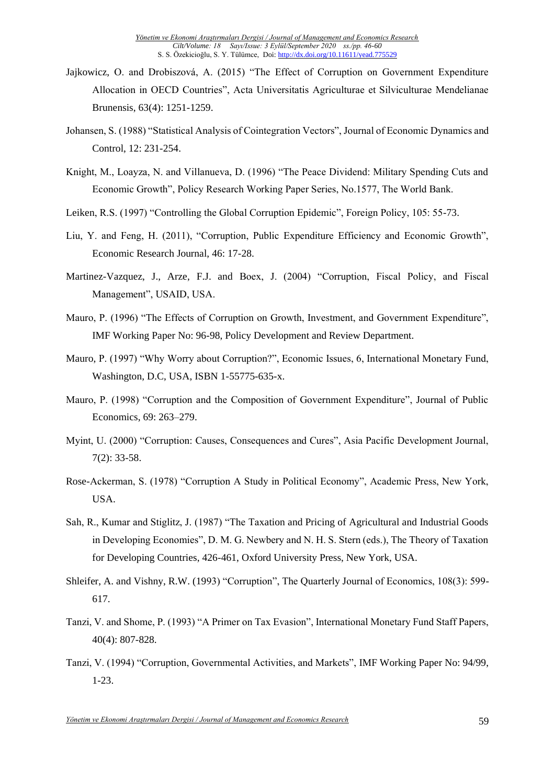- Jajkowicz, O. and Drobiszová, A. (2015) "The Effect of Corruption on Government Expenditure Allocation in OECD Countries", Acta Universitatis Agriculturae et Silviculturae Mendelianae Brunensis, 63(4): 1251-1259.
- Johansen, S. (1988) "Statistical Analysis of Cointegration Vectors", Journal of Economic Dynamics and Control, 12: 231-254.
- Knight, M., Loayza, N. and Villanueva, D. (1996) "The Peace Dividend: Military Spending Cuts and Economic Growth", Policy Research Working Paper Series, No.1577, The World Bank.
- Leiken, R.S. (1997) "Controlling the Global Corruption Epidemic", Foreign Policy, 105: 55-73.
- Liu, Y. and Feng, H. (2011), "Corruption, Public Expenditure Efficiency and Economic Growth", Economic Research Journal, 46: 17-28.
- Martinez-Vazquez, J., Arze, F.J. and Boex, J. (2004) "Corruption, Fiscal Policy, and Fiscal Management", USAID, USA.
- Mauro, P. (1996) "The Effects of Corruption on Growth, Investment, and Government Expenditure", IMF Working Paper No: 96-98, Policy Development and Review Department.
- Mauro, P. (1997) "Why Worry about Corruption?", Economic Issues, 6, International Monetary Fund, Washington, D.C, USA, ISBN 1-55775-635-x.
- Mauro, P. (1998) "Corruption and the Composition of Government Expenditure", Journal of Public Economics, 69: 263–279.
- Myint, U. (2000) "Corruption: Causes, Consequences and Cures", Asia Pacific Development Journal, 7(2): 33-58.
- Rose-Ackerman, S. (1978) "Corruption A Study in Political Economy", Academic Press, New York, USA.
- Sah, R., Kumar and Stiglitz, J. (1987) "The Taxation and Pricing of Agricultural and Industrial Goods in Developing Economies", D. M. G. Newbery and N. H. S. Stern (eds.), The Theory of Taxation for Developing Countries, 426-461, Oxford University Press, New York, USA.
- Shleifer, A. and Vishny, R.W. (1993) "Corruption", The Quarterly Journal of Economics, 108(3): 599- 617.
- Tanzi, V. and Shome, P. (1993) "A Primer on Tax Evasion", International Monetary Fund Staff Papers, 40(4): 807-828.
- Tanzi, V. (1994) "Corruption, Governmental Activities, and Markets", IMF Working Paper No: 94/99, 1-23.